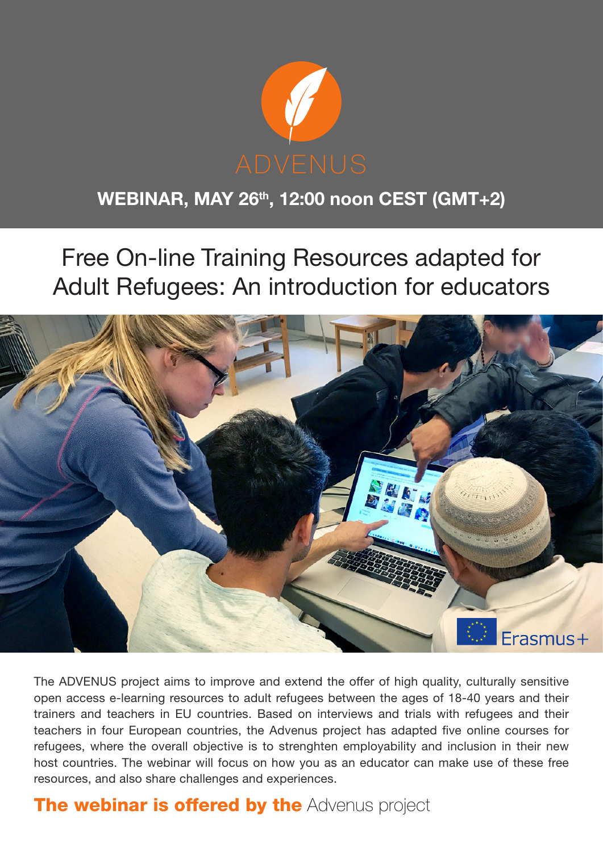

# WEBINAR, MAY 26<sup>th</sup>, 12:00 noon CEST (GMT+2)

Free On-line Training Resources adapted for Adult Refugees: An introduction for educators



The ADVENUS project aims to improve and extend the offer of high quality, culturally sensitive open access e-learning resources to adult refugees between the ages of 18-40 years and their trainers and teachers in EU countries. Based on interviews and trials with refugees and their teachers in four European countries, the Advenus project has adapted five online courses for refugees, where the overall objective is to strenghten employability and inclusion in their new host countries. The webinar will focus on how you as an educator can make use of these free resources, and also share challenges and experiences.

# **The webinar is offered by the [Advenus project](http://advenus.net)**